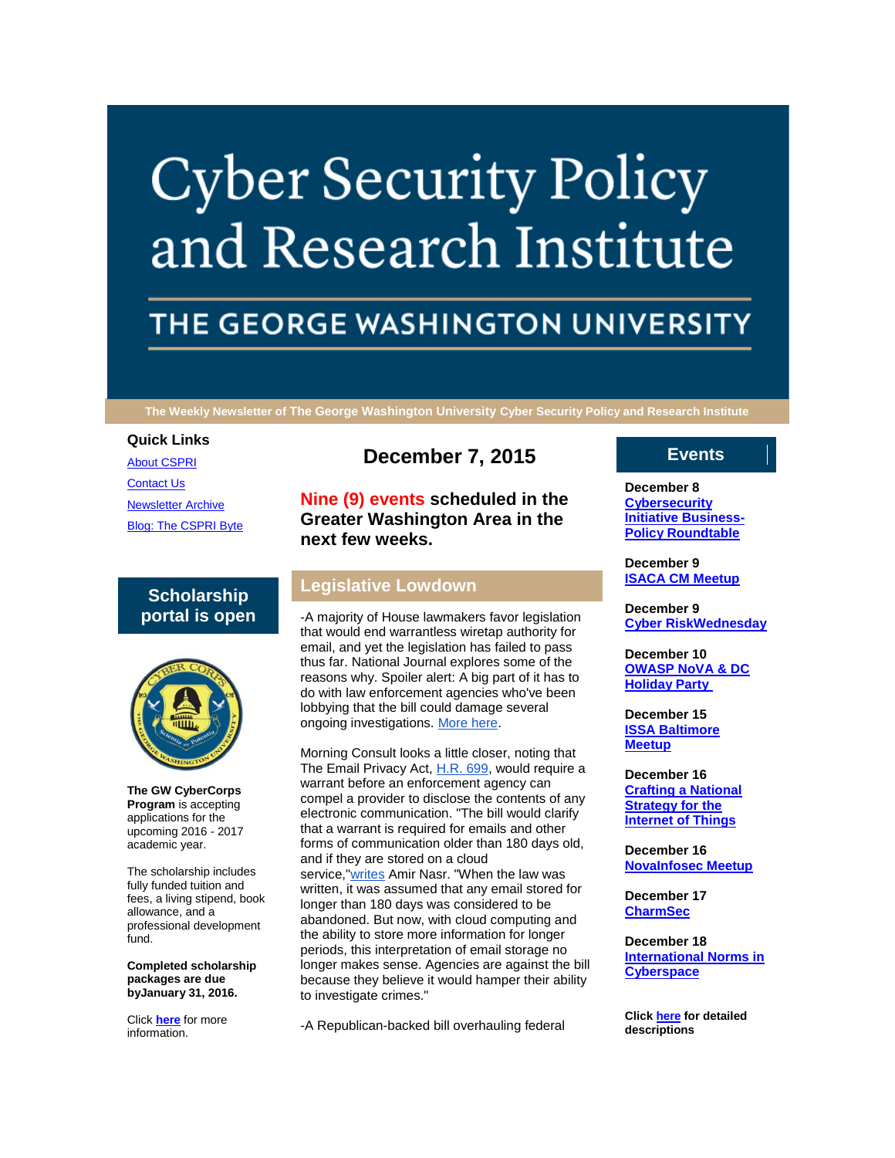# **Cyber Security Policy** and Research Institute

# THE GEORGE WASHINGTON UNIVERSITY

**The Weekly Newsletter of The George Washington University Cyber Security Policy and Research Institute**

#### **Quick Links**

[About CSPRI](http://r20.rs6.net/tn.jsp?e=001eiRk7vBuU5AP0lTR1N4JRmjNoWMv9tqDdzfKERplQDGPsG009sEuQv4HrSqsPlqvTLhGHqIx7IssAmB-TSufHefjjfAEcHVA_2QRa0GfAIefMui5MjZM5wlELe57VPrr) [Contact Us](http://r20.rs6.net/tn.jsp?e=001eiRk7vBuU5AP0lTR1N4JRmjNoWMv9tqDdzfKERplQDGPsG009sEuQv4HrSqsPlqvTLhGHqIx7IssAmB-TSufHefjjfAEcHVA_2QRa0GfAIeQfxMozCalRC-VwLwotvwMsF-Hvyazm6M=) [Newsletter Archive](http://r20.rs6.net/tn.jsp?e=001eiRk7vBuU5AP0lTR1N4JRmjNoWMv9tqDdzfKERplQDGPsG009sEuQv4HrSqsPlqvTLhGHqIx7IssAmB-TSufHefjjfAEcHVA_2QRa0GfAIcQ0h14TeUoWt2Ty5Bj9Uy6MYF2IjS0D7g=) [Blog: The CSPRI Byte](http://r20.rs6.net/tn.jsp?e=001eiRk7vBuU5AP0lTR1N4JRmjNoWMv9tqDdzfKERplQDGPsG009sEuQv4HrSqsPlqvTLhGHqIx7IssAmB-TSufHefjjfAEcHVA_2QRa0GfAIfdI8xndZXLpifgGcXbk_90)

# **Scholarship portal is open**



**The GW CyberCorps Program** is accepting applications for the upcoming 2016 - 2017 academic year.

The scholarship includes fully funded tuition and fees, a living stipend, book allowance, and a professional development fund.

**Completed scholarship packages are due byJanuary 31, 2016.**

Click **[here](http://r20.rs6.net/tn.jsp?e=001eiRk7vBuU5AP0lTR1N4JRmjNoWMv9tqDdzfKERplQDGPsG009sEuQv4HrSqsPlqvTLhGHqIx7IsBJJhztKIqNd062k96i1RyOrpOigkrd8KIHTcLdtjX8dmRb3OmF2_z)** for more information.

# **December 7, 2015**

**Nine (9) events scheduled in the Greater Washington Area in the next few weeks.**

# **Legislative Lowdown**

-A majority of House lawmakers favor legislation that would end warrantless wiretap authority for email, and yet the legislation has failed to pass thus far. National Journal explores some of the reasons why. Spoiler alert: A big part of it has to do with law enforcement agencies who've been lobbying that the bill could damage several ongoing investigations. [More here.](http://r20.rs6.net/tn.jsp?e=001eiRk7vBuU5AP0lTR1N4JRmjNoWMv9tqDdzfKERplQDGPsG009sEuQv4HrSqsPlqvTLhGHqIx7IthDCb3SYBhvI3HFpvuKfJRdZ4umWGv_T05tmzQVZVzR35wEQroFmec5GXNS7BjA1DCog3nr4WPWMsdgpmjD3jUChTscXLip7Vfmi4ptTWwNZYaUbuuIB11omWDEc64BUB3KHvvm1zeSBmUHMrd6mGXQsa2B44qu6bdDTIZ3Z6_XzGGWMfKkmLFV12rChxNX3ib5ZcRXuG4Vw==)

Morning Consult looks a little closer, noting that The Email Privacy Act, [H.R. 699,](http://r20.rs6.net/tn.jsp?e=001eiRk7vBuU5AP0lTR1N4JRmjNoWMv9tqDdzfKERplQDGPsG009sEuQv4HrSqsPlqva5sYAs1qI6YvYX5MnHleBgmpJ5VrYK4FbDahWt-JVfae-9NFXbUy7MCX1AXixnevjqc4Zi3EDe6pPrPg2YvxJm7_w96NPtfg) would require a warrant before an enforcement agency can compel a provider to disclose the contents of any electronic communication. "The bill would clarify that a warrant is required for emails and other forms of communication older than 180 days old, and if they are stored on a cloud service,["writes](http://r20.rs6.net/tn.jsp?e=001eiRk7vBuU5AP0lTR1N4JRmjNoWMv9tqDdzfKERplQDGPsG009sEuQv4HrSqsPlqvTLhGHqIx7IsIp7Uh66WeYWuxgaArCKIvNKtD7dPWMCZ-uSstkXKOTLVLnBcfwEUlxuwCrz-qK0U4jX57lBIw1rzdABPIAzw8qv2yD_TowtfybLIZMiqxV_QAkFBBF3ujw0aAd3qxq_AWiNA2aHx84A==) Amir Nasr. "When the law was written, it was assumed that any email stored for longer than 180 days was considered to be abandoned. But now, with cloud computing and the ability to store more information for longer periods, this interpretation of email storage no longer makes sense. Agencies are against the bill because they believe it would hamper their ability to investigate crimes."

-A Republican-backed bill overhauling federal

# **Events**

**December 8 [Cybersecurity](http://r20.rs6.net/tn.jsp?e=001eiRk7vBuU5AP0lTR1N4JRmjNoWMv9tqDdzfKERplQDGPsG009sEuQv4HrSqsPlqvTLhGHqIx7IssAmB-TSufHefjjfAEcHVA_2QRa0GfAId1xSNDddEueW1hitUCS76G2hT-ZFL3LG0=)  [Initiative Business-](http://r20.rs6.net/tn.jsp?e=001eiRk7vBuU5AP0lTR1N4JRmjNoWMv9tqDdzfKERplQDGPsG009sEuQv4HrSqsPlqvTLhGHqIx7IssAmB-TSufHefjjfAEcHVA_2QRa0GfAId1xSNDddEueW1hitUCS76G2hT-ZFL3LG0=)[Policy Roundtable](http://r20.rs6.net/tn.jsp?e=001eiRk7vBuU5AP0lTR1N4JRmjNoWMv9tqDdzfKERplQDGPsG009sEuQv4HrSqsPlqvTLhGHqIx7IssAmB-TSufHefjjfAEcHVA_2QRa0GfAId1xSNDddEueW1hitUCS76G2hT-ZFL3LG0=)**

**December 9 [ISACA CM Meetup](http://r20.rs6.net/tn.jsp?e=001eiRk7vBuU5AP0lTR1N4JRmjNoWMv9tqDdzfKERplQDGPsG009sEuQv4HrSqsPlqvTLhGHqIx7IssAmB-TSufHefjjfAEcHVA_2QRa0GfAId1xSNDddEueW1hitUCS76G2hT-ZFL3LG0=)**

**December 9 [Cyber RiskWednesday](http://r20.rs6.net/tn.jsp?e=001eiRk7vBuU5AP0lTR1N4JRmjNoWMv9tqDdzfKERplQDGPsG009sEuQv4HrSqsPlqvTLhGHqIx7IssAmB-TSufHefjjfAEcHVA_2QRa0GfAId1xSNDddEueW1hitUCS76G2hT-ZFL3LG0=)**

**December 10 [OWASP NoVA & DC](http://r20.rs6.net/tn.jsp?e=001eiRk7vBuU5AP0lTR1N4JRmjNoWMv9tqDdzfKERplQDGPsG009sEuQv4HrSqsPlqvTLhGHqIx7IssAmB-TSufHefjjfAEcHVA_2QRa0GfAId1xSNDddEueW1hitUCS76G2hT-ZFL3LG0=)  [Holiday Party](http://r20.rs6.net/tn.jsp?e=001eiRk7vBuU5AP0lTR1N4JRmjNoWMv9tqDdzfKERplQDGPsG009sEuQv4HrSqsPlqvTLhGHqIx7IssAmB-TSufHefjjfAEcHVA_2QRa0GfAId1xSNDddEueW1hitUCS76G2hT-ZFL3LG0=)**

**December 15 [ISSA Baltimore](http://r20.rs6.net/tn.jsp?e=001eiRk7vBuU5AP0lTR1N4JRmjNoWMv9tqDdzfKERplQDGPsG009sEuQv4HrSqsPlqvTLhGHqIx7IssAmB-TSufHefjjfAEcHVA_2QRa0GfAId1xSNDddEueW1hitUCS76G2hT-ZFL3LG0=)  [Meetup](http://r20.rs6.net/tn.jsp?e=001eiRk7vBuU5AP0lTR1N4JRmjNoWMv9tqDdzfKERplQDGPsG009sEuQv4HrSqsPlqvTLhGHqIx7IssAmB-TSufHefjjfAEcHVA_2QRa0GfAId1xSNDddEueW1hitUCS76G2hT-ZFL3LG0=)**

**December 16 [Crafting a National](http://r20.rs6.net/tn.jsp?e=001eiRk7vBuU5AP0lTR1N4JRmjNoWMv9tqDdzfKERplQDGPsG009sEuQv4HrSqsPlqvTLhGHqIx7IssAmB-TSufHefjjfAEcHVA_2QRa0GfAId1xSNDddEueW1hitUCS76G2hT-ZFL3LG0=)  [Strategy for the](http://r20.rs6.net/tn.jsp?e=001eiRk7vBuU5AP0lTR1N4JRmjNoWMv9tqDdzfKERplQDGPsG009sEuQv4HrSqsPlqvTLhGHqIx7IssAmB-TSufHefjjfAEcHVA_2QRa0GfAId1xSNDddEueW1hitUCS76G2hT-ZFL3LG0=)  [Internet of Things](http://r20.rs6.net/tn.jsp?e=001eiRk7vBuU5AP0lTR1N4JRmjNoWMv9tqDdzfKERplQDGPsG009sEuQv4HrSqsPlqvTLhGHqIx7IssAmB-TSufHefjjfAEcHVA_2QRa0GfAId1xSNDddEueW1hitUCS76G2hT-ZFL3LG0=)**

**December 16 [NovaInfosec Meetup](http://r20.rs6.net/tn.jsp?e=001eiRk7vBuU5AP0lTR1N4JRmjNoWMv9tqDdzfKERplQDGPsG009sEuQv4HrSqsPlqvTLhGHqIx7IssAmB-TSufHefjjfAEcHVA_2QRa0GfAId1xSNDddEueW1hitUCS76G2hT-ZFL3LG0=)**

**December 17 [CharmSec](http://r20.rs6.net/tn.jsp?e=001eiRk7vBuU5AP0lTR1N4JRmjNoWMv9tqDdzfKERplQDGPsG009sEuQv4HrSqsPlqvTLhGHqIx7IssAmB-TSufHefjjfAEcHVA_2QRa0GfAId1xSNDddEueW1hitUCS76G2hT-ZFL3LG0=)**

**December 18 [International Norms in](http://r20.rs6.net/tn.jsp?e=001eiRk7vBuU5AP0lTR1N4JRmjNoWMv9tqDdzfKERplQDGPsG009sEuQv4HrSqsPlqvTLhGHqIx7IssAmB-TSufHefjjfAEcHVA_2QRa0GfAId1xSNDddEueW1hitUCS76G2hT-ZFL3LG0=)  [Cyberspace](http://r20.rs6.net/tn.jsp?e=001eiRk7vBuU5AP0lTR1N4JRmjNoWMv9tqDdzfKERplQDGPsG009sEuQv4HrSqsPlqvTLhGHqIx7IssAmB-TSufHefjjfAEcHVA_2QRa0GfAId1xSNDddEueW1hitUCS76G2hT-ZFL3LG0=)**

**Click [here](http://r20.rs6.net/tn.jsp?e=001eiRk7vBuU5AP0lTR1N4JRmjNoWMv9tqDdzfKERplQDGPsG009sEuQv4HrSqsPlqvTLhGHqIx7IssAmB-TSufHefjjfAEcHVA_2QRa0GfAId1xSNDddEueW1hitUCS76G1hx4CGi6ZsECSeFzjpXDSg==) for detailed descriptions**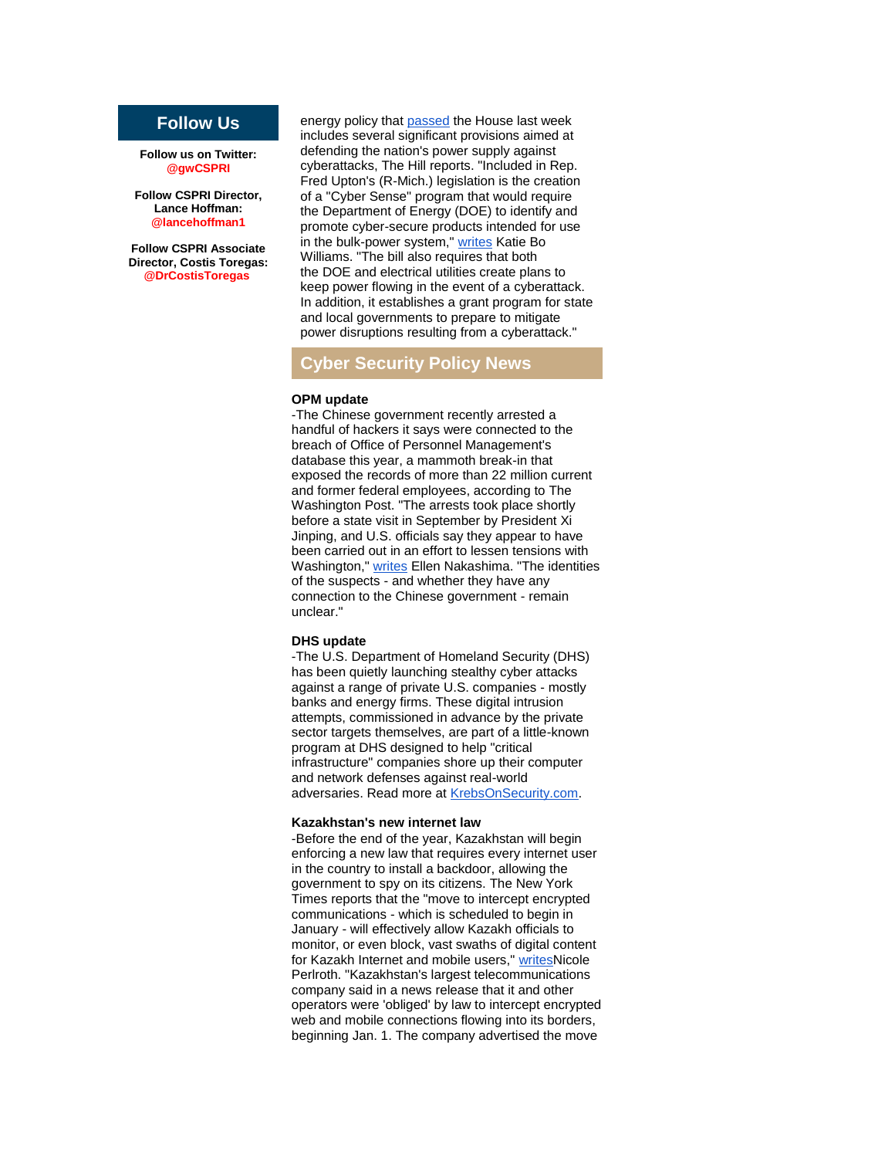# **Follow Us**

**Follow us on Twitter: @gwCSPRI**

**Follow CSPRI Director, Lance Hoffman: @lancehoffman1**

**Follow CSPRI Associate Director, Costis Toregas: @DrCostisToregas**

energy policy that [passed](http://r20.rs6.net/tn.jsp?e=001eiRk7vBuU5AP0lTR1N4JRmjNoWMv9tqDdzfKERplQDGPsG009sEuQv4HrSqsPlqvTLhGHqIx7ItcyqIlFMuOiPijxiEIn7Hu8qPZrOVKnkhf6FR6BSAQ8JpwX2KU7P6mRXU6uKzV_wCnM-MQ00qrp5RQPAZR6jB3QpT2cuhwNlPS8Nvm43J-zgVTSuDMWEbHqyBh-AnWqxY=) the House last week includes several significant provisions aimed at defending the nation's power supply against cyberattacks, The Hill reports. "Included in Rep. Fred Upton's (R-Mich.) legislation is the creation of a "Cyber Sense" program that would require the Department of Energy (DOE) to identify and promote cyber-secure products intended for use in the bulk-power system," [writes](http://r20.rs6.net/tn.jsp?e=001eiRk7vBuU5AP0lTR1N4JRmjNoWMv9tqDdzfKERplQDGPsG009sEuQv4HrSqsPlqvTLhGHqIx7ItcyqIlFMuOiPijxiEIn7Hu8qPZrOVKnkhkfOVq9zEz2i-haCfckyrbVU1wj-WwPem5YgL7JSHhtfOBHjxthhnE4QiGVoJRwoMpGAerAPgnPZ2q6v08l-HzeXkgBsguykc=) Katie Bo Williams. "The bill also requires that both the DOE and electrical utilities create plans to keep power flowing in the event of a cyberattack. In addition, it establishes a grant program for state and local governments to prepare to mitigate power disruptions resulting from a cyberattack."

### **Cyber Security Policy News**

#### **OPM update**

-The Chinese government recently arrested a handful of hackers it says were connected to the breach of Office of Personnel Management's database this year, a mammoth break-in that exposed the records of more than 22 million current and former federal employees, according to The Washington Post. "The arrests took place shortly before a state visit in September by President Xi Jinping, and U.S. officials say they appear to have been carried out in an effort to lessen tensions with Washington," [writes](http://r20.rs6.net/tn.jsp?e=001eiRk7vBuU5AP0lTR1N4JRmjNoWMv9tqDdzfKERplQDGPsG009sEuQv4HrSqsPlqva5sYAs1qI6bXSjRb4TZI-OffIsMg_z4GBwFisnxEfFr930EnT1BZtU1QXPj6GbHaW-3adFJWAhRc0PVPn5FA4PCdBKmxKUtSMsz7LONT4oW6xO5y6jKVo_p8metjtswXOZ22orHWSOK-INiSgi4DxfmkZPLhx0UtuPAfF-Py1hkM1wpIYjM6Uo5UF-TURK5X732LQyg9Kb4Sv4PmiTRVNn3ZUGqaqP9ak_5Nqk7UQ4DHDpolLWNMn9eC3cNXtHgQ05d1wvqmgOl0A71FqviHVQ==) Ellen Nakashima. "The identities of the suspects - and whether they have any connection to the Chinese government - remain unclear."

#### **DHS update**

-The U.S. Department of Homeland Security (DHS) has been quietly launching stealthy cyber attacks against a range of private U.S. companies - mostly banks and energy firms. These digital intrusion attempts, commissioned in advance by the private sector targets themselves, are part of a little-known program at DHS designed to help "critical infrastructure" companies shore up their computer and network defenses against real-world adversaries. Read more at [KrebsOnSecurity.com.](http://r20.rs6.net/tn.jsp?e=001eiRk7vBuU5AP0lTR1N4JRmjNoWMv9tqDdzfKERplQDGPsG009sEuQv4HrSqsPlqvTLhGHqIx7IvfZygGTqpXydE_Sdd8ILakYLxAqru0_IbOHDAZJnkV6DK4YixEiXQ68bBTK-Fp0cQxVfhmWC8-Tql3DmiTanLr1RmPBplIGrxzP5YG5vpsxQ==)

#### **Kazakhstan's new internet law**

-Before the end of the year, Kazakhstan will begin enforcing a new law that requires every internet user in the country to install a backdoor, allowing the government to spy on its citizens. The New York Times reports that the "move to intercept encrypted communications - which is scheduled to begin in January - will effectively allow Kazakh officials to monitor, or even block, vast swaths of digital content for Kazakh Internet and mobile users," [writesN](http://r20.rs6.net/tn.jsp?e=001eiRk7vBuU5AP0lTR1N4JRmjNoWMv9tqDdzfKERplQDGPsG009sEuQv4HrSqsPlqvTLhGHqIx7IsFZEoXx33Iyd4QD0iUZLbD_4z5RGnYrkJ9FRxmB6O8V3exLBoWeaUyvzxVIxcfOe-ZSzGTSoARmwAKMGViqKojVS_toAkPf1LZ7BjK7A6_V2OkOBLKjPfrQkc9gedBNYUFQitdpnZf2Gk2-1Zr5Cux)icole Perlroth. "Kazakhstan's largest telecommunications company said in a news release that it and other operators were 'obliged' by law to intercept encrypted web and mobile connections flowing into its borders, beginning Jan. 1. The company advertised the move